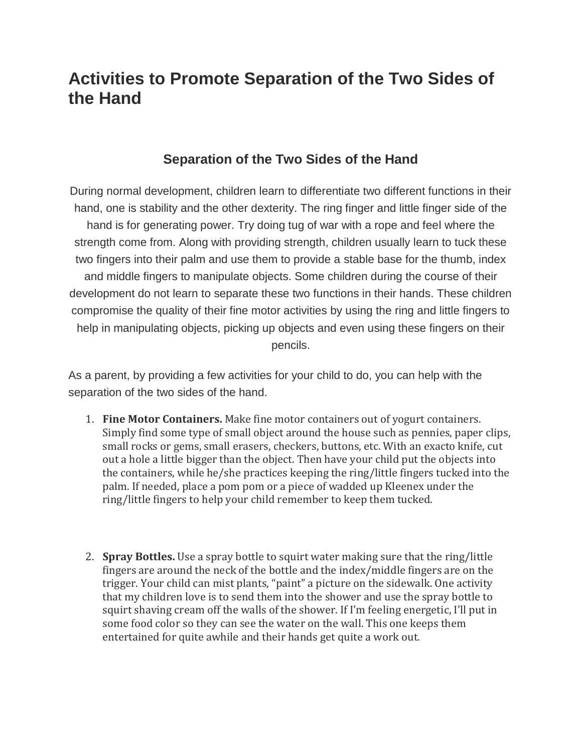## **Activities to Promote Separation of the Two Sides of the Hand**

## **Separation of the Two Sides of the Hand**

During normal development, children learn to differentiate two different functions in their hand, one is stability and the other dexterity. The ring finger and little finger side of the hand is for generating power. Try doing tug of war with a rope and feel where the strength come from. Along with providing strength, children usually learn to tuck these two fingers into their palm and use them to provide a stable base for the thumb, index and middle fingers to manipulate objects. Some children during the course of their development do not learn to separate these two functions in their hands. These children compromise the quality of their fine motor activities by using the ring and little fingers to help in manipulating objects, picking up objects and even using these fingers on their pencils.

As a parent, by providing a few activities for your child to do, you can help with the separation of the two sides of the hand.

- 1. **Fine Motor Containers.** Make fine motor containers out of yogurt containers. Simply find some type of small object around the house such as pennies, paper clips, small rocks or gems, small erasers, checkers, buttons, etc. With an exacto knife, cut out a hole a little bigger than the object. Then have your child put the objects into the containers, while he/she practices keeping the ring/little fingers tucked into the palm. If needed, place a pom pom or a piece of wadded up Kleenex under the ring/little fingers to help your child remember to keep them tucked.
- 2. **Spray Bottles.** Use a spray bottle to squirt water making sure that the ring/little fingers are around the neck of the bottle and the index/middle fingers are on the trigger. Your child can mist plants, "paint" a picture on the sidewalk. One activity that my children love is to send them into the shower and use the spray bottle to squirt shaving cream off the walls of the shower. If I'm feeling energetic, I'll put in some food color so they can see the water on the wall. This one keeps them entertained for quite awhile and their hands get quite a work out.